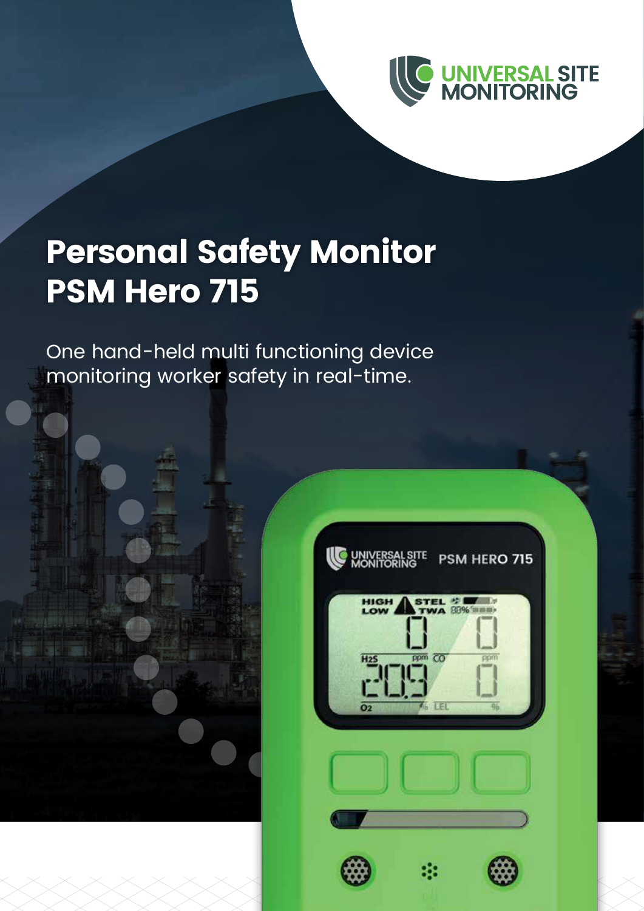

## **Personal Safety Monitor PSM Hero 715**

One hand-held multi functioning device monitoring worker safety in real-time.

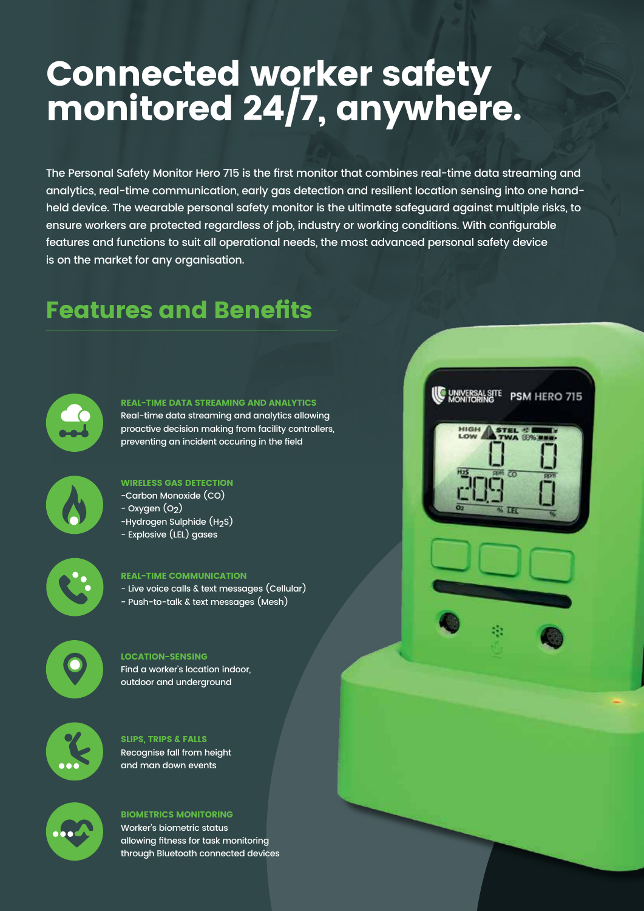## **Connected worker safety monitored 24/7, anywhere.**

The Personal Safety Monitor Hero 715 is the first monitor that combines real-time data streaming and analytics, real-time communication, early gas detection and resilient location sensing into one handheld device. The wearable personal safety monitor is the ultimate safeguard against multiple risks, to ensure workers are protected regardless of job, industry or working conditions. With configurable features and functions to suit all operational needs, the most advanced personal safety device is on the market for any organisation.

**WANTORING PSM HERO 715** 

HIGH

### **Features and Benefits**



#### **REAL-TIME DATA STREAMING AND ANALYTICS**

Real-time data streaming and analytics allowing proactive decision making from facility controllers, preventing an incident occuring in the field



#### **WIRELESS GAS DETECTION** -Carbon Monoxide (CO)

- $-$  Oxygen  $(O<sub>2</sub>)$
- -Hydrogen Sulphide (H<sub>2</sub>S)
- Explosive (LEL) gases



#### **REAL-TIME COMMUNICATION**

- Live voice calls & text messages (Cellular)
- Push-to-talk & text messages (Mesh)



#### **LOCATION-SENSING** Find a worker's location indoor, outdoor and underground



#### **SLIPS, TRIPS & FALLS** Recognise fall from height and man down events



#### **BIOMETRICS MONITORING**

Worker's biometric status allowing fitness for task monitoring through Bluetooth connected devices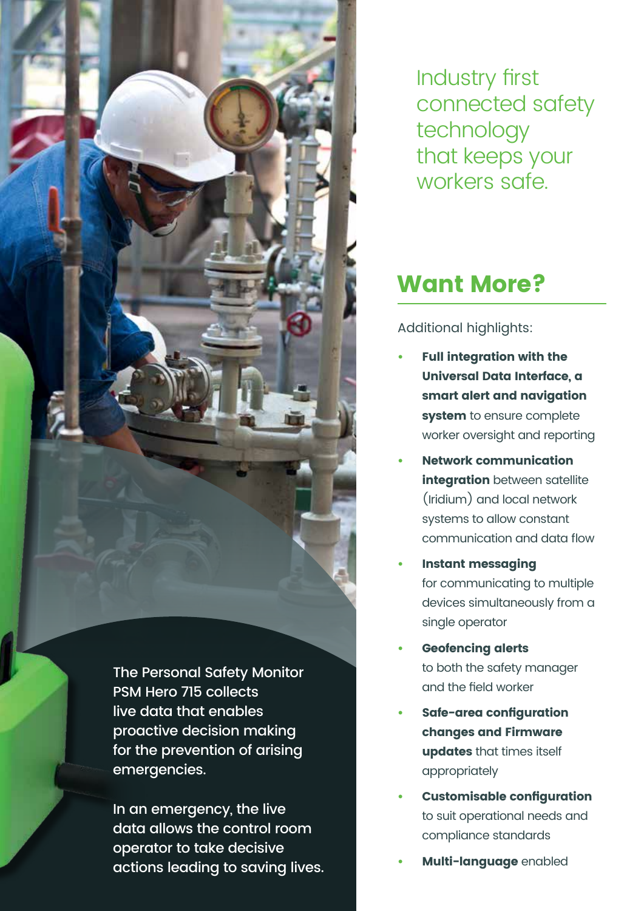The Personal Safety Monitor PSM Hero 715 collects live data that enables proactive decision making for the prevention of arising emergencies.

In an emergency, the live data allows the control room operator to take decisive actions leading to saving lives. Industry first connected safety technology that keeps your workers safe.

### **Want More?**

Additional highlights:

- **• Full integration with the Universal Data Interface, a smart alert and navigation system** to ensure complete worker oversight and reporting
- **• Network communication integration** between satellite (Iridium) and local network systems to allow constant communication and data flow
- **• Instant messaging** for communicating to multiple devices simultaneously from a single operator
- **• Geofencing alerts** to both the safety manager and the field worker
- **• Safe-area configuration changes and Firmware updates** that times itself appropriately
- **• Customisable configuration** to suit operational needs and compliance standards
- **• Multi-language** enabled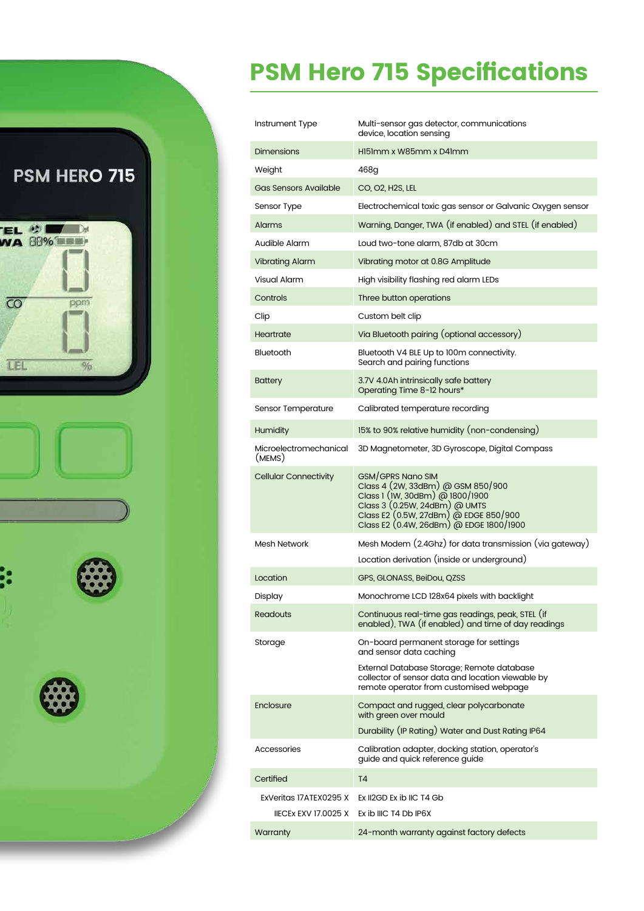

## **PSM Hero 715 Specifications**

| Instrument Type                  | Multi-sensor gas detector, communications<br>device, location sensing                                                                                                                                                 |
|----------------------------------|-----------------------------------------------------------------------------------------------------------------------------------------------------------------------------------------------------------------------|
| <b>Dimensions</b>                | HI51mm x W85mm x D41mm                                                                                                                                                                                                |
| Weight                           | 468g                                                                                                                                                                                                                  |
| <b>Gas Sensors Available</b>     | CO, O2, H2S, LEL                                                                                                                                                                                                      |
| Sensor Type                      | Electrochemical toxic gas sensor or Galvanic Oxygen sensor                                                                                                                                                            |
| Alarms                           | Warning, Danger, TWA (if enabled) and STEL (if enabled)                                                                                                                                                               |
| Audible Alarm                    | Loud two-tone alarm, 87db at 30cm                                                                                                                                                                                     |
| <b>Vibrating Alarm</b>           | Vibrating motor at 0.8G Amplitude                                                                                                                                                                                     |
| Visual Alarm                     | High visibility flashing red alarm LEDs                                                                                                                                                                               |
| Controls                         | Three button operations                                                                                                                                                                                               |
| Clip                             | Custom belt clip                                                                                                                                                                                                      |
| Heartrate                        | Via Bluetooth pairing (optional accessory)                                                                                                                                                                            |
| Bluetooth                        | Bluetooth V4 BLE Up to 100m connectivity.<br>Search and pairing functions                                                                                                                                             |
| <b>Battery</b>                   | 3.7V 4.0Ah intrinsically safe battery<br>Operating Time 8-12 hours*                                                                                                                                                   |
| Sensor Temperature               | Calibrated temperature recording                                                                                                                                                                                      |
| <b>Humidity</b>                  | 15% to 90% relative humidity (non-condensing)                                                                                                                                                                         |
| Microelectromechanical<br>(MEMS) | 3D Magnetometer, 3D Gyroscope, Digital Compass                                                                                                                                                                        |
| <b>Cellular Connectivity</b>     | <b>GSM/GPRS Nano SIM</b><br>Class 4 (2W, 33dBm) @ GSM 850/900<br>Class 1 (IW, 30dBm) @ 1800/1900<br>Class 3 (0.25W, 24dBm) @ UMTS<br>Class E2 (0.5W, 27dBm) @ EDGE 850/900<br>Class E2 (0.4W, 26dBm) @ EDGE 1800/1900 |
| Mesh Network                     | Mesh Modem (2.4Ghz) for data transmission (via gateway)                                                                                                                                                               |
|                                  | Location derivation (inside or underground)                                                                                                                                                                           |
| Location                         | GPS, GLONASS, BeiDou, QZSS                                                                                                                                                                                            |
| Display                          | Monochrome LCD 128x64 pixels with backlight                                                                                                                                                                           |
| Readouts                         | Continuous real-time gas readings, peak, STEL (if<br>enabled), TWA (if enabled) and time of day readings                                                                                                              |
| Storage                          | On-board permanent storage for settings<br>and sensor data caching                                                                                                                                                    |
|                                  | External Database Storage; Remote database<br>collector of sensor data and location viewable by<br>remote operator from customised webpage                                                                            |
| Enclosure                        | Compact and rugged, clear polycarbonate<br>with green over mould                                                                                                                                                      |
|                                  | Durability (IP Rating) Water and Dust Rating IP64                                                                                                                                                                     |
| Accessories                      | Calibration adapter, docking station, operator's<br>guide and quick reference guide                                                                                                                                   |
| Certified                        | T <sub>4</sub>                                                                                                                                                                                                        |
| ExVeritas 17ATEX0295 X           | Ex II2GD Ex ib IIC T4 Gb                                                                                                                                                                                              |
| <b>IIECEX EXV 17.0025 X</b>      | Ex ib IIIC T4 Db IP6X                                                                                                                                                                                                 |
| Warranty                         | 24-month warranty against factory defects                                                                                                                                                                             |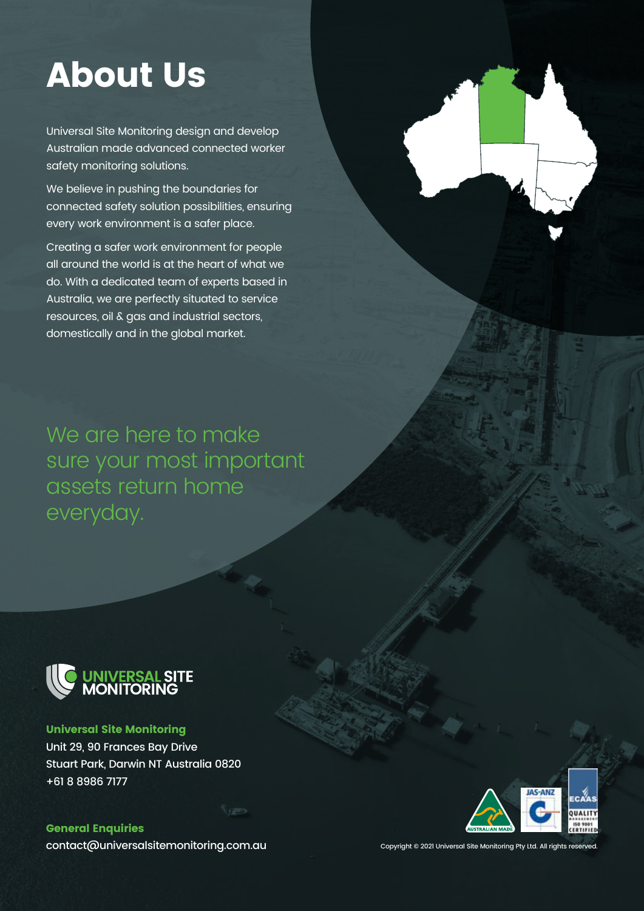## **About Us**

Universal Site Monitoring design and develop Australian made advanced connected worker safety monitoring solutions.

We believe in pushing the boundaries for connected safety solution possibilities, ensuring every work environment is a safer place.

Creating a safer work environment for people all around the world is at the heart of what we do. With a dedicated team of experts based in Australia, we are perfectly situated to service resources, oil & gas and industrial sectors, domestically and in the global market.

We are here to make sure your most important assets return home everyday.



**Universal Site Monitoring** Unit 29, 90 Frances Bay Drive Stuart Park, Darwin NT Australia 0820 +61 8 8986 7177

**General Enquiries** contact@universalsitemonitoring.com.au



Copyright © 2021 Universal Site Monitoring Pty Ltd. All rights reserved.